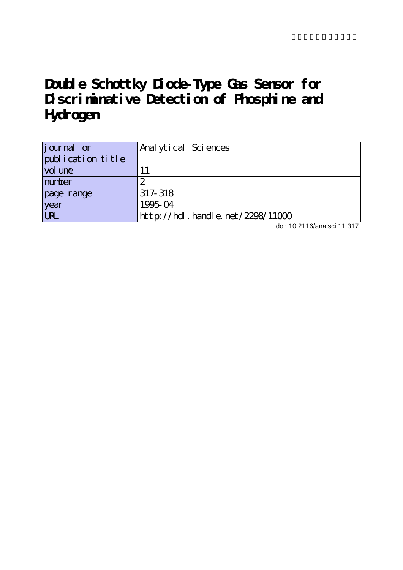# **Double Schottky Diode-Type Gas Sensor for Discriminative Detection of Phosphine and Hydrogen**

| journal or        | Anal ytical Sciences             |
|-------------------|----------------------------------|
| publication title |                                  |
| vol une           |                                  |
| number            |                                  |
| page range        | 317-318                          |
| year              | 1995-04                          |
| URL               | http://hdl.handle.net/2298/11000 |

doi: 10.2116/analsci.11.317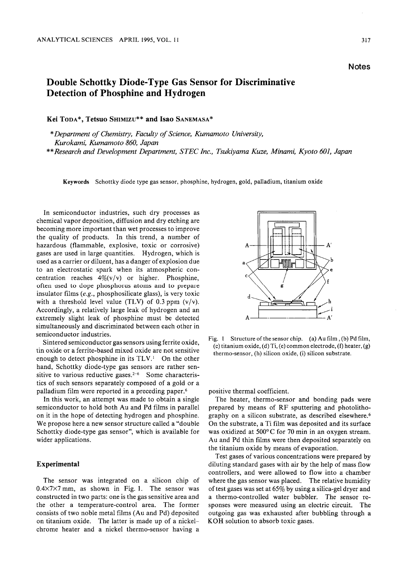## Double Schottky Diode-Type Gas Sensor for Discriminative Detection of Phosphine and Hydrogen

Kei Toda\*, Tetsuo Shimizu\*\* and Isao Sanemasa\*

Department of Chemistry, Faculty of Science, Kumamoto University, Kurokami, Kumamoto 860, Japan

\*\* Research and Development Department, STEC Inc., Tsukiyama Kuze, Minami, Kyoto 601, Japan

Keywords Schottky diode type gas sensor, phosphine, hydrogen, gold, palladium, titanium oxide

In semiconductor industries, such dry processes as chemical vapor deposition, diffusion and dry etching are becoming more important than wet processes to improve the quality of products. In this trend, a number of hazardous (flammable, explosive, toxic or corrosive) gases are used in large quantities. Hydrogen, which is used as a carrier or diluent, has a danger of explosion due to an electrostatic spark when its atmospheric con centration reaches  $4\%$ (v/v) or higher. Phosphine, often used to dope phosphorus atoms and to prepare insulator films (e.g., phosphosilicate glass), is very toxic with a threshold level value (TLV) of 0.3 ppm  $(v/v)$ . Accordingly, a relatively large leak of hydrogen and an extremely slight leak of phosphine must be detected simultaneously and discriminated between each other in semiconductor industries.

Sintered semiconductor gas sensors using ferrite oxide, tin oxide or a ferrite-based mixed oxide are not sensitive enough to detect phosphine in its  $TLV<sup>1</sup>$  On the other hand, Schottky diode-type gas sensors are rather sen sitive to various reductive gases.<sup>2-6</sup> Some characteristics of such sensors separately composed of a gold or a palladium film were reported in a preceding paper.<sup>6</sup>

In this work, an attempt was made to obtain a single semiconductor to hold both Au and Pd films in parallel on it in the hope of detecting hydrogen and phosphine. We propose here a new sensor structure called a "double Schottky diode-type gas sensor", which is available for wider applications.

### Experimental

The sensor was integrated on a silicon chip of 0.4X7X7 mm, as shown in Fig. 1. The sensor was constructed in two parts: one is the gas sensitive area and the other a temperature-control area. The former consists of two noble metal films (Au and Pd) deposited on titanium oxide. The latter is made up of a nickelchrome heater and a nickel thermo-sensor having a



Fig. 1 Structure of the sensor chip. (a) Au film, (b) Pd film, (c) titanium oxide, (d) Ti, (e) common electrode, (f) heater, (g) thermo-sensor, (h) silicon oxide, (i) silicon substrate.

positive thermal coefficient.

The heater, thermo-sensor and bonding pads were prepared by means of RF sputtering and photolitho graphy on a silicon substrate, as described elsewhere.<sup>6</sup> On the substrate, a Ti film was deposited and its surface was oxidized at 500°C for 70 min in an oxygen stream. Au and Pd thin films were then deposited separately on the titanium oxide by means of evaporation.

Test gases of various concentrations were prepared by diluting standard gases with air by the help of mass flow controllers, and were allowed to flow into a chamber where the gas sensor was placed. The relative humidity of test gases was set at  $65\%$  by using a silica-gel dryer and a thermo-controlled water bubbler. The sensor responses were measured using an electric circuit. The outgoing gas was exhausted after bubbling through a KOH solution to absorb toxic gases.

**Notes**